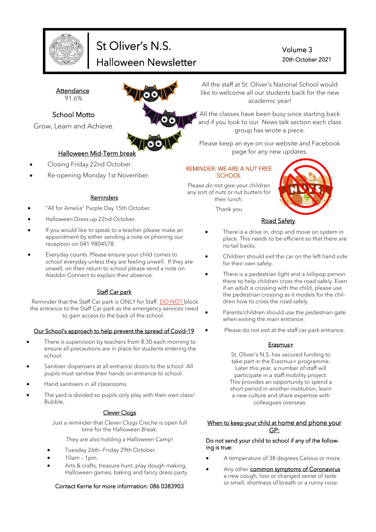

# St Oliver's N.S. Halloween Newsletter

Volume 3 20th October 2021

**Attendance** 91.6%

### School Motto

Grow, Learn and Achieve.



### Halloween Mid-Term break

- Closing Friday 22nd October.
- Re-opening Monday 1st November.

#### Reminders

- "All for Amelia" Purple Day 15th October.
- Halloween Dress up 22nd October.
- If you would like to speak to a teacher please make an appointment by either sending a note or phoning our reception on 041 9804578.
- Everyday counts. Please ensure your child comes to school everyday unless they are feeling unwell. If they are unwell, on their return to school please send a note on Aladdin Connect to explain their absence.

### Staff Car park

Reminder that the Staff Car park is ONLY for Staff. DO NOT block the entrance to the Staff Car park as the emergency services need to gain access to the back of the school.

#### Our School's approach to help prevent the spread of Covid-19

- There is supervision by teachers from 8.30 each morning to ensure all precautions are in place for students entering the school.
- Sanitiser dispensers at all entrance doors to the school. All pupils must sanitise their hands on entrance to school.
- Hand sanitisers in all classrooms.
- The yard is divided so pupils only play with their own class/ Bubble.

#### **Clever Clogs**

Just a reminder that Clever Clogs Creche is open full time for the Halloween Break.

They are also holding a Halloween Camp!

- Tuesday 26th—Friday 29th October.
- 10am 1pm.
- Arts & crafts, treasure hunt, play dough making, Halloween games, baking and fancy dress party.

#### Contact Kerrie for more information: 086 0383903

All the staff at St. Oliver's National School would like to welcome all our students back for the new academic year!

All the classes have been busy since starting back and if you look to our News talk section each class group has wrote a piece.

Please keep an eye on our website and Facebook page for any new updates.

#### REMINDER: WE ARE A NUT FREE **SCHOOL**

Please do not give your children any sort of nuts or nut butters for their lunch.

Thank you



### Road Safety

- There is a drive in, drop and move on system in place. This needs to be efficient so that there are no tail backs.
- Children should exit the car on the left hand side for their own safety.
- There is a pedestrian light and a lollipop person there to help children cross the road safely. Even if an adult is crossing with the child, please use the pedestrian crossing as it models for the children how to cross the road safely.
- Parents/children should use the pedestrian gate when exiting the main entrance.
- Please do not exit at the staff car park entrance.

#### Erasmus+

St. Oliver's N.S. has secured funding to take part in the Erasmus+ programme. Later this year, a number of staff will participate in a staff mobility project. This provides an opportunity to spend a short period in another institution, learn a new culture and share expertise with colleagues overseas.

#### When to keep your child at home and phone your GP:

#### Do not send your child to school if any of the following is true:

- A temperature of 38 degrees Celsius or more.
- Any other **common symptoms of Coronavirus** a new cough, loss or changed sense of taste or smell, shortness of breath or a runny nose.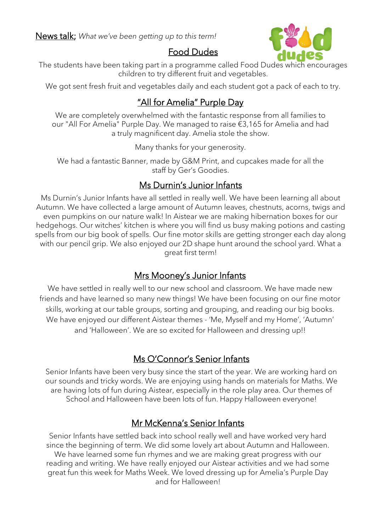

## Food Dudes

The students have been taking part in a programme called Food Dudes which encourages children to try different fruit and vegetables.

We got sent fresh fruit and vegetables daily and each student got a pack of each to try.

## "All for Amelia" Purple Day

We are completely overwhelmed with the fantastic response from all families to our "All For Amelia" Purple Day. We managed to raise €3,165 for Amelia and had a truly magnificent day. Amelia stole the show.

Many thanks for your generosity.

We had a fantastic Banner, made by G&M Print, and cupcakes made for all the staff by Ger's Goodies.

## Ms Durnin's Junior Infants

Ms Durnin's Junior Infants have all settled in really well. We have been learning all about Autumn. We have collected a large amount of Autumn leaves, chestnuts, acorns, twigs and even pumpkins on our nature walk! In Aistear we are making hibernation boxes for our hedgehogs. Our witches' kitchen is where you will find us busy making potions and casting spells from our big book of spells. Our fine motor skills are getting stronger each day along with our pencil grip. We also enjoyed our 2D shape hunt around the school yard. What a great first term!

## Mrs Mooney's Junior Infants

We have settled in really well to our new school and classroom. We have made new friends and have learned so many new things! We have been focusing on our fine motor skills, working at our table groups, sorting and grouping, and reading our big books. We have enjoyed our different Aistear themes - 'Me, Myself and my Home', 'Autumn' and 'Halloween'. We are so excited for Halloween and dressing up!!

## Ms O'Connor's Senior Infants

Senior Infants have been very busy since the start of the year. We are working hard on our sounds and tricky words. We are enjoying using hands on materials for Maths. We are having lots of fun during Aistear, especially in the role play area. Our themes of School and Halloween have been lots of fun. Happy Halloween everyone!

## Mr McKenna's Senior Infants

Senior Infants have settled back into school really well and have worked very hard since the beginning of term. We did some lovely art about Autumn and Halloween. We have learned some fun rhymes and we are making great progress with our reading and writing. We have really enjoyed our Aistear activities and we had some great fun this week for Maths Week. We loved dressing up for Amelia's Purple Day and for Halloween!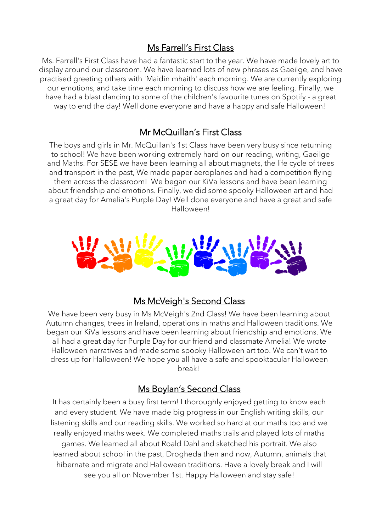## Ms Farrell's First Class

Ms. Farrell's First Class have had a fantastic start to the year. We have made lovely art to display around our classroom. We have learned lots of new phrases as Gaeilge, and have practised greeting others with 'Maidin mhaith' each morning. We are currently exploring our emotions, and take time each morning to discuss how we are feeling. Finally, we have had a blast dancing to some of the children's favourite tunes on Spotify - a great way to end the day! Well done everyone and have a happy and safe Halloween!

### Mr McQuillan's First Class

The boys and girls in Mr. McQuillan's 1st Class have been very busy since returning to school! We have been working extremely hard on our reading, writing, Gaeilge and Maths. For SESE we have been learning all about magnets, the life cycle of trees and transport in the past, We made paper aeroplanes and had a competition flying them across the classroom! We began our KiVa lessons and have been learning about friendship and emotions. Finally, we did some spooky Halloween art and had a great day for Amelia's Purple Day! Well done everyone and have a great and safe Halloween!



### Ms McVeigh's Second Class

We have been very busy in Ms McVeigh's 2nd Class! We have been learning about Autumn changes, trees in Ireland, operations in maths and Halloween traditions. We began our KiVa lessons and have been learning about friendship and emotions. We all had a great day for Purple Day for our friend and classmate Amelia! We wrote Halloween narratives and made some spooky Halloween art too. We can't wait to dress up for Halloween! We hope you all have a safe and spooktacular Halloween break!

### Ms Boylan's Second Class

It has certainly been a busy first term! I thoroughly enjoyed getting to know each and every student. We have made big progress in our English writing skills, our listening skills and our reading skills. We worked so hard at our maths too and we really enjoyed maths week. We completed maths trails and played lots of maths games. We learned all about Roald Dahl and sketched his portrait. We also learned about school in the past, Drogheda then and now, Autumn, animals that hibernate and migrate and Halloween traditions. Have a lovely break and I will see you all on November 1st. Happy Halloween and stay safe!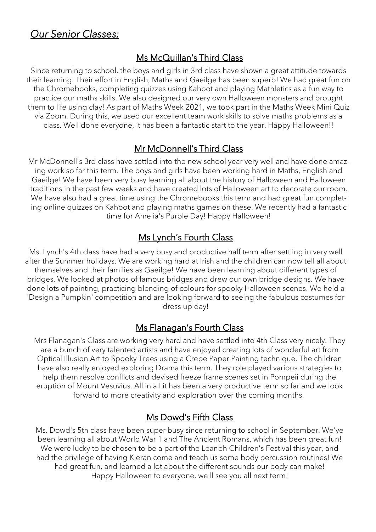# *Our Senior Classes;*

## Ms McQuillan's Third Class

Since returning to school, the boys and girls in 3rd class have shown a great attitude towards their learning. Their effort in English, Maths and Gaeilge has been superb! We had great fun on the Chromebooks, completing quizzes using Kahoot and playing Mathletics as a fun way to practice our maths skills. We also designed our very own Halloween monsters and brought them to life using clay! As part of Maths Week 2021, we took part in the Maths Week Mini Quiz via Zoom. During this, we used our excellent team work skills to solve maths problems as a class. Well done everyone, it has been a fantastic start to the year. Happy Halloween!!

## Mr McDonnell's Third Class

Mr McDonnell's 3rd class have settled into the new school year very well and have done amazing work so far this term. The boys and girls have been working hard in Maths, English and Gaeilge! We have been very busy learning all about the history of Halloween and Halloween traditions in the past few weeks and have created lots of Halloween art to decorate our room. We have also had a great time using the Chromebooks this term and had great fun completing online quizzes on Kahoot and playing maths games on these. We recently had a fantastic time for Amelia's Purple Day! Happy Halloween!

## Ms Lynch's Fourth Class

Ms. Lynch's 4th class have had a very busy and productive half term after settling in very well after the Summer holidays. We are working hard at Irish and the children can now tell all about themselves and their families as Gaeilge! We have been learning about different types of bridges. We looked at photos of famous bridges and drew our own bridge designs. We have done lots of painting, practicing blending of colours for spooky Halloween scenes. We held a 'Design a Pumpkin' competition and are looking forward to seeing the fabulous costumes for dress up day!

### Ms Flanagan's Fourth Class

Mrs Flanagan's Class are working very hard and have settled into 4th Class very nicely. They are a bunch of very talented artists and have enjoyed creating lots of wonderful art from Optical Illusion Art to Spooky Trees using a Crepe Paper Painting technique. The children have also really enjoyed exploring Drama this term. They role played various strategies to help them resolve conflicts and devised freeze frame scenes set in Pompeii during the eruption of Mount Vesuvius. All in all it has been a very productive term so far and we look forward to more creativity and exploration over the coming months.

## Ms Dowd's Fifth Class

Ms. Dowd's 5th class have been super busy since returning to school in September. We've been learning all about World War 1 and The Ancient Romans, which has been great fun! We were lucky to be chosen to be a part of the Leanbh Children's Festival this year, and had the privilege of having Kieran come and teach us some body percussion routines! We had great fun, and learned a lot about the different sounds our body can make! Happy Halloween to everyone, we'll see you all next term!